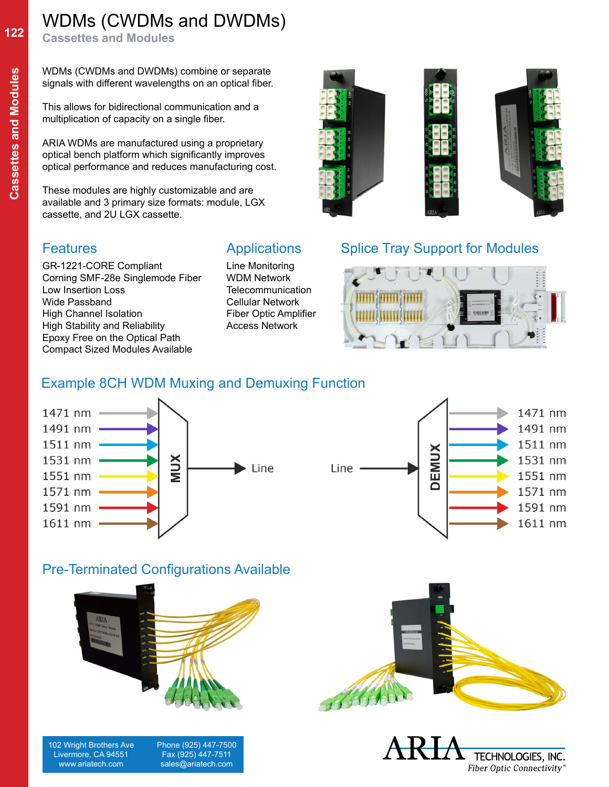# WDMs (CWDMs and DWDMs)

**Cassettes and Modules**

WDMs (CWDMs and DWDMs) combine or separate signals with different wavelengths on an optical fiber.

This allows for bidirectional communication and a multiplication of capacity on a single fiber.

ARIA WDMs are manufactured using a proprietary optical bench platform which significantly improves optical performance and reduces manufacturing cost.

These modules are highly customizable and are available and 3 primary size formats: module, LGX cassette, and 2U LGX cassette.

GR-1221-CORE Compliant Corning SMF-28e Singlemode Fiber Low Insertion Loss Wide Passband High Channel Isolation High Stability and Reliability Epoxy Free on the Optical Path Compact Sized Modules Available

## **Features** Applications

Line Monitoring WDM Network **Telecommunication** Cellular Network Fiber Optic Amplifier Access Network



## Splice Tray Support for Modules



## Example 8CH WDM Muxing and Demuxing Function





## Pre-Terminated Configurations Available



102 Wright Brothers Ave Livermore, CA 94551 www.ariatech.com

 Phone (925) 447-7500 Fax (925) 447-7511 sales@ariatech.com



TECHNOLOGIES, INC. Fiber Optic Connectivity®

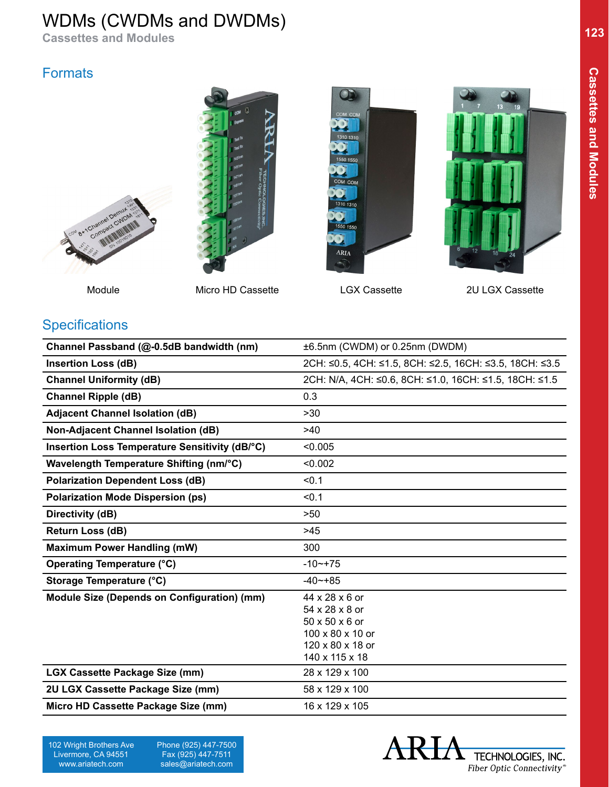## WDMs (CWDMs and DWDMs)

**Cassettes and Modules**

## **Formats**





Module Micro HD Cassette LGX Cassette 2U LGX Cassette





## **Specifications**

| Channel Passband (@-0.5dB bandwidth (nm)       | ±6.5nm (CWDM) or 0.25nm (DWDM)                          |
|------------------------------------------------|---------------------------------------------------------|
| <b>Insertion Loss (dB)</b>                     | 2CH: ≤0.5, 4CH: ≤1.5, 8CH: ≤2.5, 16CH: ≤3.5, 18CH: ≤3.5 |
| <b>Channel Uniformity (dB)</b>                 | 2CH: N/A, 4CH: ≤0.6, 8CH: ≤1.0, 16CH: ≤1.5, 18CH: ≤1.5  |
| <b>Channel Ripple (dB)</b>                     | 0.3                                                     |
| <b>Adjacent Channel Isolation (dB)</b>         | >30                                                     |
| Non-Adjacent Channel Isolation (dB)            | >40                                                     |
| Insertion Loss Temperature Sensitivity (dB/°C) | < 0.005                                                 |
| Wavelength Temperature Shifting (nm/°C)        | < 0.002                                                 |
| <b>Polarization Dependent Loss (dB)</b>        | < 0.1                                                   |
| <b>Polarization Mode Dispersion (ps)</b>       | < 0.1                                                   |
| Directivity (dB)                               | >50                                                     |
| Return Loss (dB)                               | >45                                                     |
| <b>Maximum Power Handling (mW)</b>             | 300                                                     |
| <b>Operating Temperature (°C)</b>              | $-10$ $-$ + 75                                          |
| Storage Temperature (°C)                       | $-40$ $-+85$                                            |
| Module Size (Depends on Configuration) (mm)    | 44 x 28 x 6 or                                          |
|                                                | 54 x 28 x 8 or<br>50 x 50 x 6 or                        |
|                                                | 100 x 80 x 10 or                                        |
|                                                | 120 x 80 x 18 or                                        |
|                                                | 140 x 115 x 18                                          |
| <b>LGX Cassette Package Size (mm)</b>          | 28 x 129 x 100                                          |
| 2U LGX Cassette Package Size (mm)              | 58 x 129 x 100                                          |
| Micro HD Cassette Package Size (mm)            | 16 x 129 x 105                                          |

**123**

 Phone (925) 447-7500 Fax (925) 447-7511 sales@ariatech.com